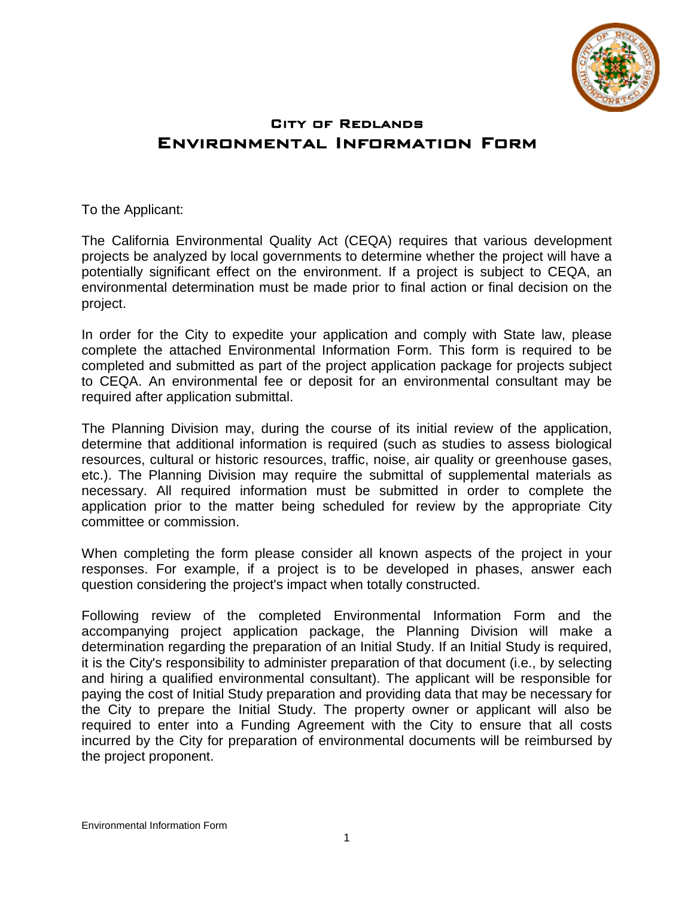

# City of Redlands Environmental Information Form

To the Applicant:

The California Environmental Quality Act (CEQA) requires that various development projects be analyzed by local governments to determine whether the project will have a potentially significant effect on the environment. If a project is subject to CEQA, an environmental determination must be made prior to final action or final decision on the project.

In order for the City to expedite your application and comply with State law, please complete the attached Environmental Information Form. This form is required to be completed and submitted as part of the project application package for projects subject to CEQA. An environmental fee or deposit for an environmental consultant may be required after application submittal.

The Planning Division may, during the course of its initial review of the application, determine that additional information is required (such as studies to assess biological resources, cultural or historic resources, traffic, noise, air quality or greenhouse gases, etc.). The Planning Division may require the submittal of supplemental materials as necessary. All required information must be submitted in order to complete the application prior to the matter being scheduled for review by the appropriate City committee or commission.

When completing the form please consider all known aspects of the project in your responses. For example, if a project is to be developed in phases, answer each question considering the project's impact when totally constructed.

Following review of the completed Environmental Information Form and the accompanying project application package, the Planning Division will make a determination regarding the preparation of an Initial Study. If an Initial Study is required, it is the City's responsibility to administer preparation of that document (i.e., by selecting and hiring a qualified environmental consultant). The applicant will be responsible for paying the cost of Initial Study preparation and providing data that may be necessary for the City to prepare the Initial Study. The property owner or applicant will also be required to enter into a Funding Agreement with the City to ensure that all costs incurred by the City for preparation of environmental documents will be reimbursed by the project proponent.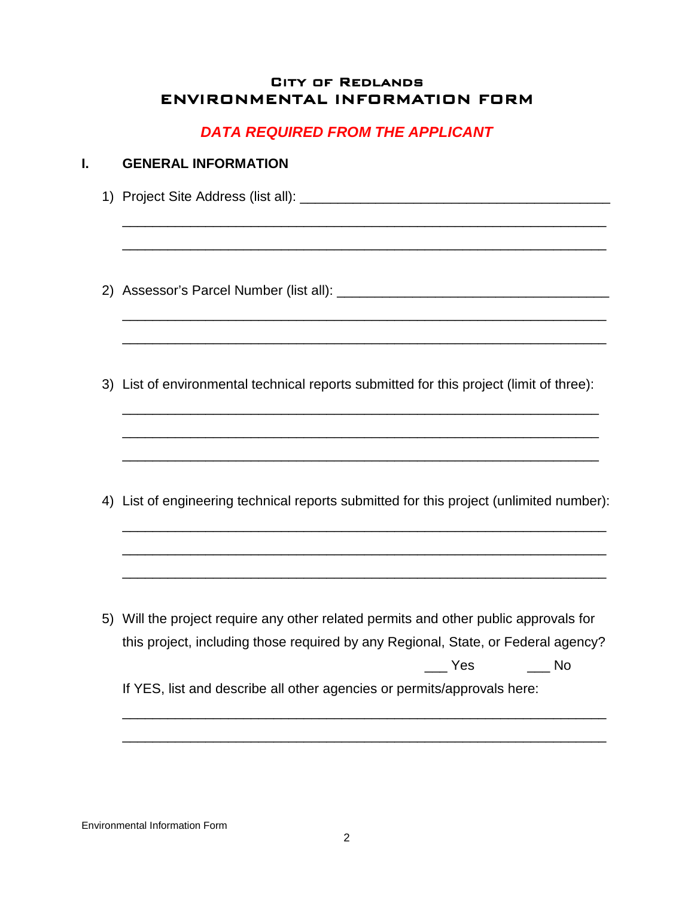## City of Redlands ENVIRONMENTAL INFORMATION FORM

# *DATA REQUIRED FROM THE APPLICANT*

# **I. GENERAL INFORMATION** 1) Project Site Address (list all): \_\_\_\_\_\_\_\_\_\_\_\_\_\_\_\_\_\_\_\_\_\_\_\_\_\_\_\_\_\_\_\_\_\_\_\_\_\_\_\_\_ \_\_\_\_\_\_\_\_\_\_\_\_\_\_\_\_\_\_\_\_\_\_\_\_\_\_\_\_\_\_\_\_\_\_\_\_\_\_\_\_\_\_\_\_\_\_\_\_\_\_\_\_\_\_\_\_\_\_\_\_\_\_\_\_ \_\_\_\_\_\_\_\_\_\_\_\_\_\_\_\_\_\_\_\_\_\_\_\_\_\_\_\_\_\_\_\_\_\_\_\_\_\_\_\_\_\_\_\_\_\_\_\_\_\_\_\_\_\_\_\_\_\_\_\_\_\_\_\_ 2) Assessor's Parcel Number (list all): \_\_\_\_\_\_\_\_\_\_\_\_\_\_\_\_\_\_\_\_\_\_\_\_\_\_\_\_\_\_\_\_\_\_\_\_ \_\_\_\_\_\_\_\_\_\_\_\_\_\_\_\_\_\_\_\_\_\_\_\_\_\_\_\_\_\_\_\_\_\_\_\_\_\_\_\_\_\_\_\_\_\_\_\_\_\_\_\_\_\_\_\_\_\_\_\_\_\_\_\_ \_\_\_\_\_\_\_\_\_\_\_\_\_\_\_\_\_\_\_\_\_\_\_\_\_\_\_\_\_\_\_\_\_\_\_\_\_\_\_\_\_\_\_\_\_\_\_\_\_\_\_\_\_\_\_\_\_\_\_\_\_\_\_\_ 3) List of environmental technical reports submitted for this project (limit of three): \_\_\_\_\_\_\_\_\_\_\_\_\_\_\_\_\_\_\_\_\_\_\_\_\_\_\_\_\_\_\_\_\_\_\_\_\_\_\_\_\_\_\_\_\_\_\_\_\_\_\_\_\_\_\_\_\_\_\_\_\_\_\_ \_\_\_\_\_\_\_\_\_\_\_\_\_\_\_\_\_\_\_\_\_\_\_\_\_\_\_\_\_\_\_\_\_\_\_\_\_\_\_\_\_\_\_\_\_\_\_\_\_\_\_\_\_\_\_\_\_\_\_\_\_\_\_ \_\_\_\_\_\_\_\_\_\_\_\_\_\_\_\_\_\_\_\_\_\_\_\_\_\_\_\_\_\_\_\_\_\_\_\_\_\_\_\_\_\_\_\_\_\_\_\_\_\_\_\_\_\_\_\_\_\_\_\_\_\_\_ 4) List of engineering technical reports submitted for this project (unlimited number): \_\_\_\_\_\_\_\_\_\_\_\_\_\_\_\_\_\_\_\_\_\_\_\_\_\_\_\_\_\_\_\_\_\_\_\_\_\_\_\_\_\_\_\_\_\_\_\_\_\_\_\_\_\_\_\_\_\_\_\_\_\_\_\_ \_\_\_\_\_\_\_\_\_\_\_\_\_\_\_\_\_\_\_\_\_\_\_\_\_\_\_\_\_\_\_\_\_\_\_\_\_\_\_\_\_\_\_\_\_\_\_\_\_\_\_\_\_\_\_\_\_\_\_\_\_\_\_\_ \_\_\_\_\_\_\_\_\_\_\_\_\_\_\_\_\_\_\_\_\_\_\_\_\_\_\_\_\_\_\_\_\_\_\_\_\_\_\_\_\_\_\_\_\_\_\_\_\_\_\_\_\_\_\_\_\_\_\_\_\_\_\_\_ 5) Will the project require any other related permits and other public approvals for this project, including those required by any Regional, State, or Federal agency? \_\_\_ Yes \_\_\_ No If YES, list and describe all other agencies or permits/approvals here: \_\_\_\_\_\_\_\_\_\_\_\_\_\_\_\_\_\_\_\_\_\_\_\_\_\_\_\_\_\_\_\_\_\_\_\_\_\_\_\_\_\_\_\_\_\_\_\_\_\_\_\_\_\_\_\_\_\_\_\_\_\_\_\_

Environmental Information Form

\_\_\_\_\_\_\_\_\_\_\_\_\_\_\_\_\_\_\_\_\_\_\_\_\_\_\_\_\_\_\_\_\_\_\_\_\_\_\_\_\_\_\_\_\_\_\_\_\_\_\_\_\_\_\_\_\_\_\_\_\_\_\_\_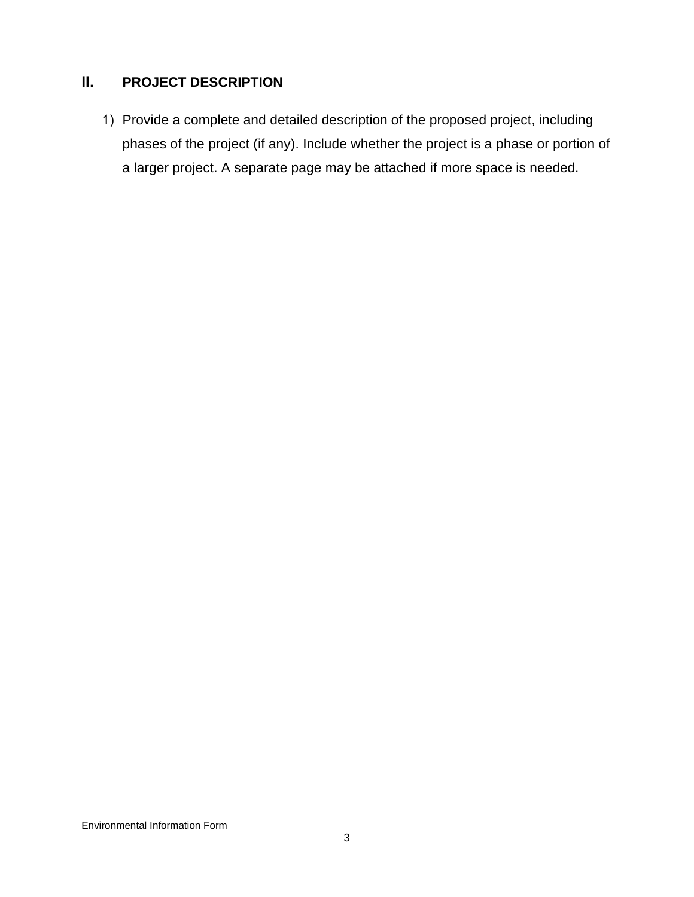# **II. PROJECT DESCRIPTION**

1) Provide a complete and detailed description of the proposed project, including phases of the project (if any). Include whether the project is a phase or portion of a larger project. A separate page may be attached if more space is needed.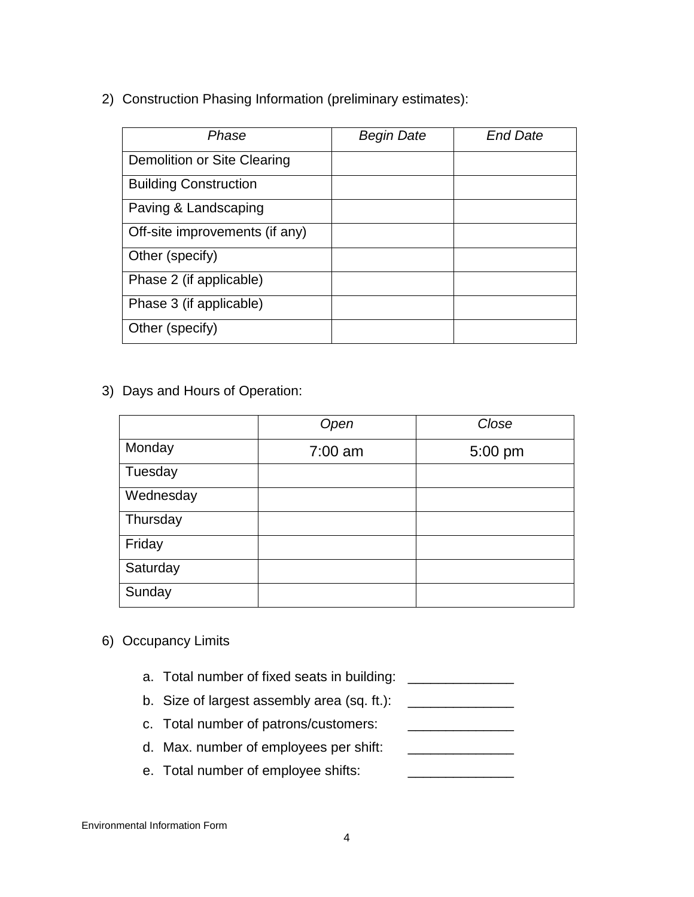2) Construction Phasing Information (preliminary estimates):

| Phase                          | <b>Begin Date</b> | <b>End Date</b> |
|--------------------------------|-------------------|-----------------|
| Demolition or Site Clearing    |                   |                 |
| <b>Building Construction</b>   |                   |                 |
| Paving & Landscaping           |                   |                 |
| Off-site improvements (if any) |                   |                 |
| Other (specify)                |                   |                 |
| Phase 2 (if applicable)        |                   |                 |
| Phase 3 (if applicable)        |                   |                 |
| Other (specify)                |                   |                 |

3) Days and Hours of Operation:

|           | Open      | Close   |
|-----------|-----------|---------|
| Monday    | $7:00$ am | 5:00 pm |
| Tuesday   |           |         |
| Wednesday |           |         |
| Thursday  |           |         |
| Friday    |           |         |
| Saturday  |           |         |
| Sunday    |           |         |

- 6) Occupancy Limits
	- a. Total number of fixed seats in building: \_\_\_\_\_\_\_\_\_\_\_\_\_\_\_\_\_\_\_
	- b. Size of largest assembly area (sq. ft.):  $\frac{1}{2}$
	- c. Total number of patrons/customers: \_\_\_\_\_\_\_\_\_\_\_\_\_\_
	- d. Max. number of employees per shift:
	- e. Total number of employee shifts: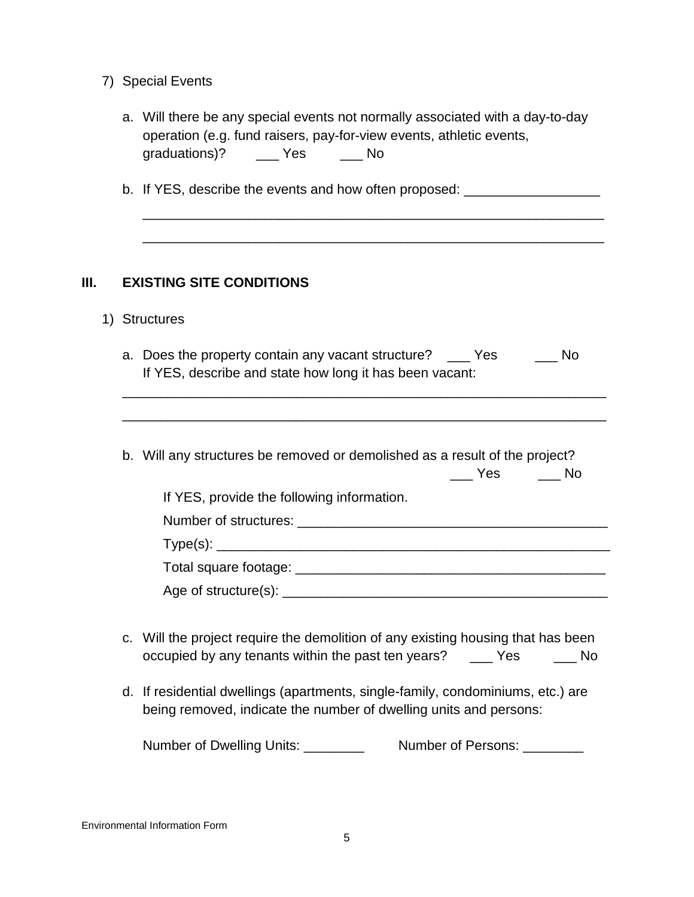7) Special Events

|               |                                                                                                      |    | a. Will there be any special events not normally associated with a day-to-day |
|---------------|------------------------------------------------------------------------------------------------------|----|-------------------------------------------------------------------------------|
|               |                                                                                                      |    | operation (e.g. fund raisers, pay-for-view events, athletic events,           |
| graduations)? | es de l'Angles de l'Angles de l'Angles de l'Angles de l'Angles de l'Angles de l'Angles de l'Angles d | NΩ |                                                                               |

\_\_\_\_\_\_\_\_\_\_\_\_\_\_\_\_\_\_\_\_\_\_\_\_\_\_\_\_\_\_\_\_\_\_\_\_\_\_\_\_\_\_\_\_\_\_\_\_\_\_\_\_\_\_\_\_\_\_\_\_\_

\_\_\_\_\_\_\_\_\_\_\_\_\_\_\_\_\_\_\_\_\_\_\_\_\_\_\_\_\_\_\_\_\_\_\_\_\_\_\_\_\_\_\_\_\_\_\_\_\_\_\_\_\_\_\_\_\_\_\_\_\_

b. If YES, describe the events and how often proposed: \_\_\_\_\_\_\_\_\_\_\_\_\_\_\_\_\_\_\_\_\_\_\_\_\_

#### **III. EXISTING SITE CONDITIONS**

1) Structures

| a. Does the property contain any vacant structure?      | Yes | No. |
|---------------------------------------------------------|-----|-----|
| If YES, describe and state how long it has been vacant: |     |     |

\_\_\_\_\_\_\_\_\_\_\_\_\_\_\_\_\_\_\_\_\_\_\_\_\_\_\_\_\_\_\_\_\_\_\_\_\_\_\_\_\_\_\_\_\_\_\_\_\_\_\_\_\_\_\_\_\_\_\_\_\_\_\_\_

\_\_\_\_\_\_\_\_\_\_\_\_\_\_\_\_\_\_\_\_\_\_\_\_\_\_\_\_\_\_\_\_\_\_\_\_\_\_\_\_\_\_\_\_\_\_\_\_\_\_\_\_\_\_\_\_\_\_\_\_\_\_\_\_

b. Will any structures be removed or demolished as a result of the project?

|                                            | Yes | No |
|--------------------------------------------|-----|----|
| If YES, provide the following information. |     |    |
|                                            |     |    |
|                                            |     |    |
|                                            |     |    |
| Age of structure(s): ________________      |     |    |

- c. Will the project require the demolition of any existing housing that has been occupied by any tenants within the past ten years? \_\_\_ Yes \_\_\_ No
- d. If residential dwellings (apartments, single-family, condominiums, etc.) are being removed, indicate the number of dwelling units and persons:

Number of Dwelling Units: \_\_\_\_\_\_\_\_\_ Number of Persons: \_\_\_\_\_\_\_\_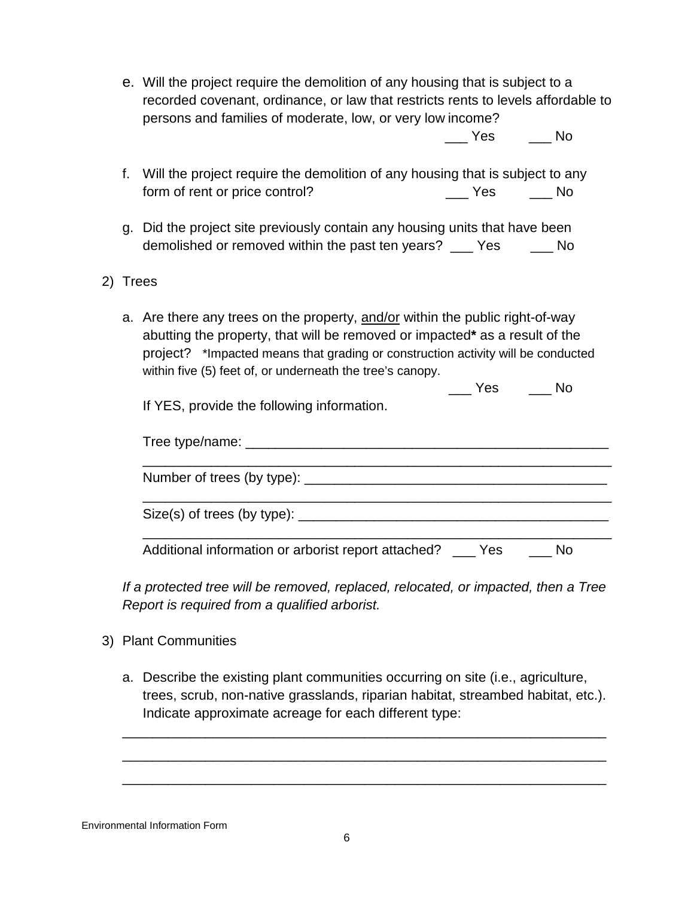e. Will the project require the demolition of any housing that is subject to a recorded covenant, ordinance, or law that restricts rents to levels affordable to persons and families of moderate, low, or very low income?

\_\_\_ Yes \_\_\_ No

- f. Will the project require the demolition of any housing that is subject to any form of rent or price control? The control of rent or price control?
- g. Did the project site previously contain any housing units that have been demolished or removed within the past ten years? \_\_\_ Yes \_\_\_\_ No
- 2) Trees
	- a. Are there any trees on the property, and/or within the public right-of-way abutting the property, that will be removed or impacted**\*** as a result of the project? \*Impacted means that grading or construction activity will be conducted within five (5) feet of, or underneath the tree's canopy.

\_\_\_ Yes \_\_\_ No If YES, provide the following information.

| IT YES, provide the following information. |  |
|--------------------------------------------|--|
|                                            |  |
| Number of trees (by type):                 |  |
| Size(s) of trees (by type): __________     |  |

Additional information or arborist report attached? \_\_\_ Yes \_\_\_\_ No

\_\_\_\_\_\_\_\_\_\_\_\_\_\_\_\_\_\_\_\_\_\_\_\_\_\_\_\_\_\_\_\_\_\_\_\_\_\_\_\_\_\_\_\_\_\_\_\_\_\_\_\_\_\_\_\_\_\_\_\_\_\_

*If a protected tree will be removed, replaced, relocated, or impacted, then a Tree Report is required from a qualified arborist.* 

- 3) Plant Communities
	- a. Describe the existing plant communities occurring on site (i.e., agriculture, trees, scrub, non-native grasslands, riparian habitat, streambed habitat, etc.). Indicate approximate acreage for each different type:

\_\_\_\_\_\_\_\_\_\_\_\_\_\_\_\_\_\_\_\_\_\_\_\_\_\_\_\_\_\_\_\_\_\_\_\_\_\_\_\_\_\_\_\_\_\_\_\_\_\_\_\_\_\_\_\_\_\_\_\_\_\_\_\_

\_\_\_\_\_\_\_\_\_\_\_\_\_\_\_\_\_\_\_\_\_\_\_\_\_\_\_\_\_\_\_\_\_\_\_\_\_\_\_\_\_\_\_\_\_\_\_\_\_\_\_\_\_\_\_\_\_\_\_\_\_\_\_\_

\_\_\_\_\_\_\_\_\_\_\_\_\_\_\_\_\_\_\_\_\_\_\_\_\_\_\_\_\_\_\_\_\_\_\_\_\_\_\_\_\_\_\_\_\_\_\_\_\_\_\_\_\_\_\_\_\_\_\_\_\_\_\_\_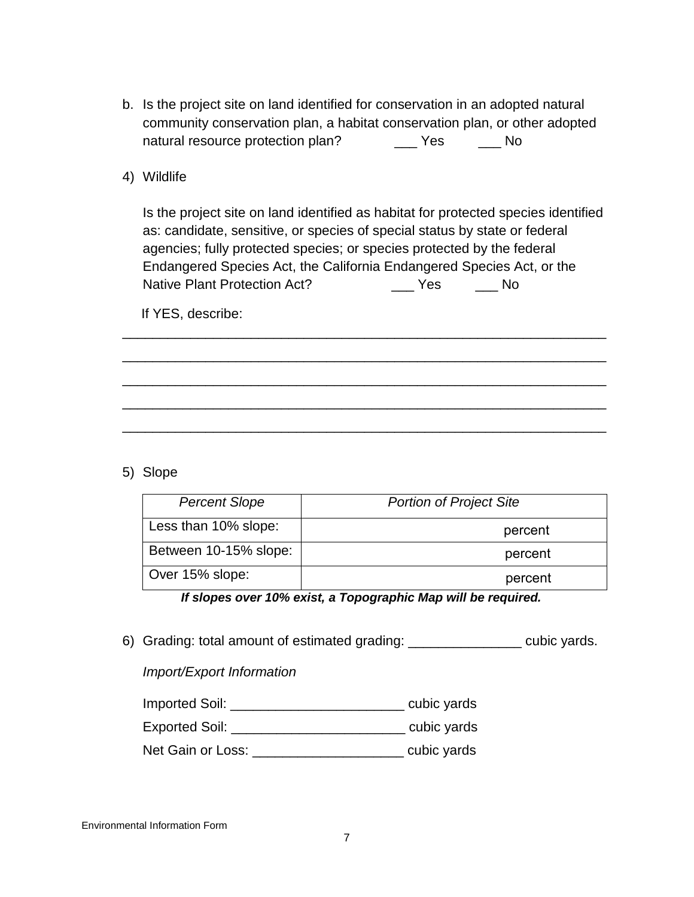- b. Is the project site on land identified for conservation in an adopted natural community conservation plan, a habitat conservation plan, or other adopted natural resource protection plan? \_\_\_\_\_\_ Yes \_\_\_\_\_\_ No
- 4) Wildlife

Is the project site on land identified as habitat for protected species identified as: candidate, sensitive, or species of special status by state or federal agencies; fully protected species; or species protected by the federal Endangered Species Act, the California Endangered Species Act, or the Native Plant Protection Act? \_\_\_ Yes \_\_\_ No

\_\_\_\_\_\_\_\_\_\_\_\_\_\_\_\_\_\_\_\_\_\_\_\_\_\_\_\_\_\_\_\_\_\_\_\_\_\_\_\_\_\_\_\_\_\_\_\_\_\_\_\_\_\_\_\_\_\_\_\_\_\_\_\_

\_\_\_\_\_\_\_\_\_\_\_\_\_\_\_\_\_\_\_\_\_\_\_\_\_\_\_\_\_\_\_\_\_\_\_\_\_\_\_\_\_\_\_\_\_\_\_\_\_\_\_\_\_\_\_\_\_\_\_\_\_\_\_\_

\_\_\_\_\_\_\_\_\_\_\_\_\_\_\_\_\_\_\_\_\_\_\_\_\_\_\_\_\_\_\_\_\_\_\_\_\_\_\_\_\_\_\_\_\_\_\_\_\_\_\_\_\_\_\_\_\_\_\_\_\_\_\_\_

\_\_\_\_\_\_\_\_\_\_\_\_\_\_\_\_\_\_\_\_\_\_\_\_\_\_\_\_\_\_\_\_\_\_\_\_\_\_\_\_\_\_\_\_\_\_\_\_\_\_\_\_\_\_\_\_\_\_\_\_\_\_\_\_

\_\_\_\_\_\_\_\_\_\_\_\_\_\_\_\_\_\_\_\_\_\_\_\_\_\_\_\_\_\_\_\_\_\_\_\_\_\_\_\_\_\_\_\_\_\_\_\_\_\_\_\_\_\_\_\_\_\_\_\_\_\_\_\_

If YES, describe:

5) Slope

| <b>Percent Slope</b>  | <b>Portion of Project Site</b> |
|-----------------------|--------------------------------|
| Less than 10% slope:  | percent                        |
| Between 10-15% slope: | percent                        |
| Over 15% slope:       | percent                        |

 *If slopes over 10% exist, a Topographic Map will be required.*

6) Grading: total amount of estimated grading: \_\_\_\_\_\_\_\_\_\_\_\_\_\_\_ cubic yards.

## *Import/Export Information*

| <b>Imported Soil:</b> |  | cubic yards |
|-----------------------|--|-------------|
|-----------------------|--|-------------|

Exported Soil: \_\_\_\_\_\_\_\_\_\_\_\_\_\_\_\_\_\_\_\_\_\_\_\_\_\_\_\_\_\_\_\_ cubic yards

Net Gain or Loss: \_\_\_\_\_\_\_\_\_\_\_\_\_\_\_\_\_\_\_\_\_\_\_\_\_ cubic yards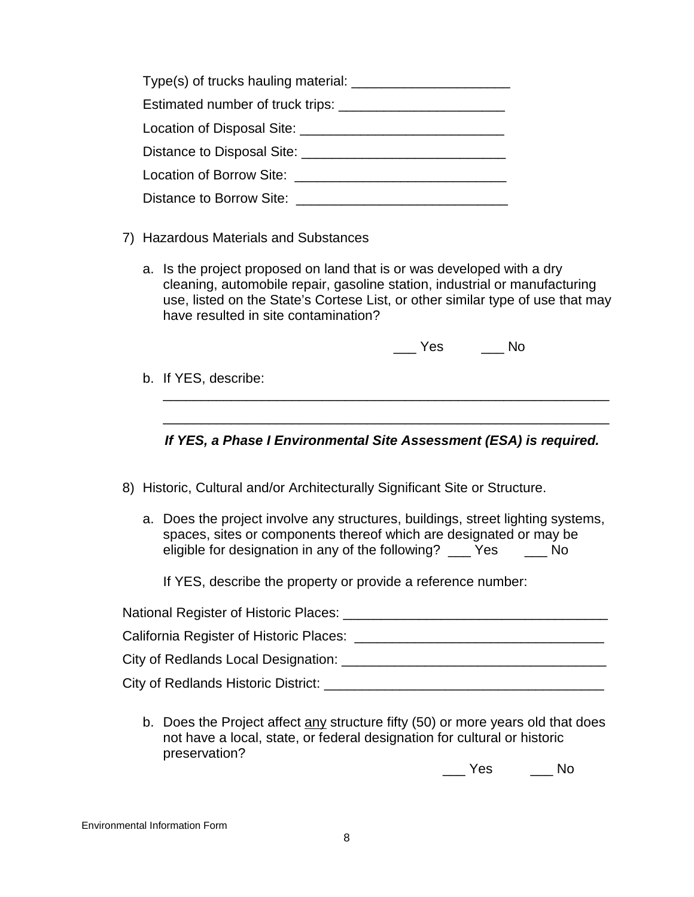| Distance to Disposal Site: <u>New York and Site</u> and Site and Site and Site and Site and Site and Site and Site and Site and Site and Site and Site and Site and Site and Site and Site and Site and Site and Site and Site and |  |
|------------------------------------------------------------------------------------------------------------------------------------------------------------------------------------------------------------------------------------|--|
| <b>Location of Borrow Site:</b> New York 1997                                                                                                                                                                                      |  |
| Distance to Borrow Site:                                                                                                                                                                                                           |  |

- 7) Hazardous Materials and Substances
	- a. Is the project proposed on land that is or was developed with a dry cleaning, automobile repair, gasoline station, industrial or manufacturing use, listed on the State's Cortese List, or other similar type of use that may have resulted in site contamination?

\_\_\_ Yes \_\_\_ No

b. If YES, describe:

*If YES, a Phase I Environmental Site Assessment (ESA) is required.*

\_\_\_\_\_\_\_\_\_\_\_\_\_\_\_\_\_\_\_\_\_\_\_\_\_\_\_\_\_\_\_\_\_\_\_\_\_\_\_\_\_\_\_\_\_\_\_\_\_\_\_\_\_\_\_\_\_\_\_

\_\_\_\_\_\_\_\_\_\_\_\_\_\_\_\_\_\_\_\_\_\_\_\_\_\_\_\_\_\_\_\_\_\_\_\_\_\_\_\_\_\_\_\_\_\_\_\_\_\_\_\_\_\_\_\_\_\_\_

- 8) Historic, Cultural and/or Architecturally Significant Site or Structure.
	- a. Does the project involve any structures, buildings, street lighting systems, spaces, sites or components thereof which are designated or may be eligible for designation in any of the following? \_\_\_ Yes \_\_\_ No

If YES, describe the property or provide a reference number:

| National Register of Historic Places:     |
|-------------------------------------------|
| California Register of Historic Places: _ |
| City of Redlands Local Designation:       |
| City of Redlands Historic District:       |

b. Does the Project affect any structure fifty (50) or more years old that does not have a local, state, or federal designation for cultural or historic preservation?

\_\_\_ Yes \_\_\_ No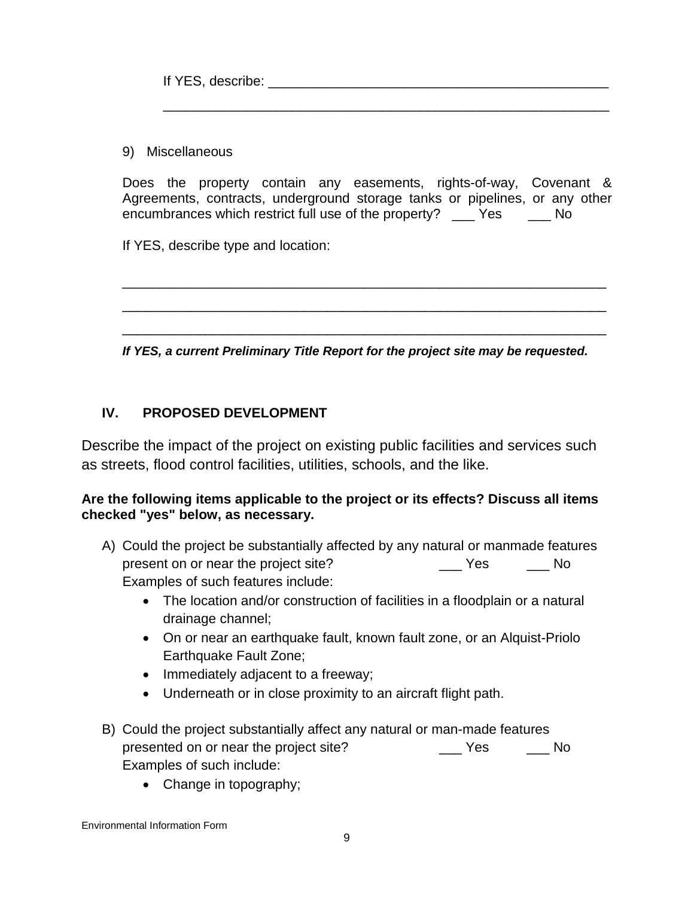If YES, describe:  $\blacksquare$ 

9) Miscellaneous

Does the property contain any easements, rights-of-way, Covenant & Agreements, contracts, underground storage tanks or pipelines, or any other encumbrances which restrict full use of the property? The Yes The No

\_\_\_\_\_\_\_\_\_\_\_\_\_\_\_\_\_\_\_\_\_\_\_\_\_\_\_\_\_\_\_\_\_\_\_\_\_\_\_\_\_\_\_\_\_\_\_\_\_\_\_\_\_\_\_\_\_\_\_

If YES, describe type and location:

*If YES, a current Preliminary Title Report for the project site may be requested.*

\_\_\_\_\_\_\_\_\_\_\_\_\_\_\_\_\_\_\_\_\_\_\_\_\_\_\_\_\_\_\_\_\_\_\_\_\_\_\_\_\_\_\_\_\_\_\_\_\_\_\_\_\_\_\_\_\_\_\_\_\_\_\_\_

\_\_\_\_\_\_\_\_\_\_\_\_\_\_\_\_\_\_\_\_\_\_\_\_\_\_\_\_\_\_\_\_\_\_\_\_\_\_\_\_\_\_\_\_\_\_\_\_\_\_\_\_\_\_\_\_\_\_\_\_\_\_\_\_

\_\_\_\_\_\_\_\_\_\_\_\_\_\_\_\_\_\_\_\_\_\_\_\_\_\_\_\_\_\_\_\_\_\_\_\_\_\_\_\_\_\_\_\_\_\_\_\_\_\_\_\_\_\_\_\_\_\_\_\_\_\_\_\_

## **IV. PROPOSED DEVELOPMENT**

Describe the impact of the project on existing public facilities and services such as streets, flood control facilities, utilities, schools, and the like.

#### **Are the following items applicable to the project or its effects? Discuss all items checked "yes" below, as necessary.**

- A) Could the project be substantially affected by any natural or manmade features present on or near the project site? <br>
No Examples of such features include:
	- The location and/or construction of facilities in a floodplain or a natural drainage channel;
	- On or near an earthquake fault, known fault zone, or an Alquist-Priolo Earthquake Fault Zone;
	- Immediately adjacent to a freeway;
	- Underneath or in close proximity to an aircraft flight path.
- B) Could the project substantially affect any natural or man-made features presented on or near the project site? \_\_\_ Yes \_\_\_ No Examples of such include:
	- Change in topography;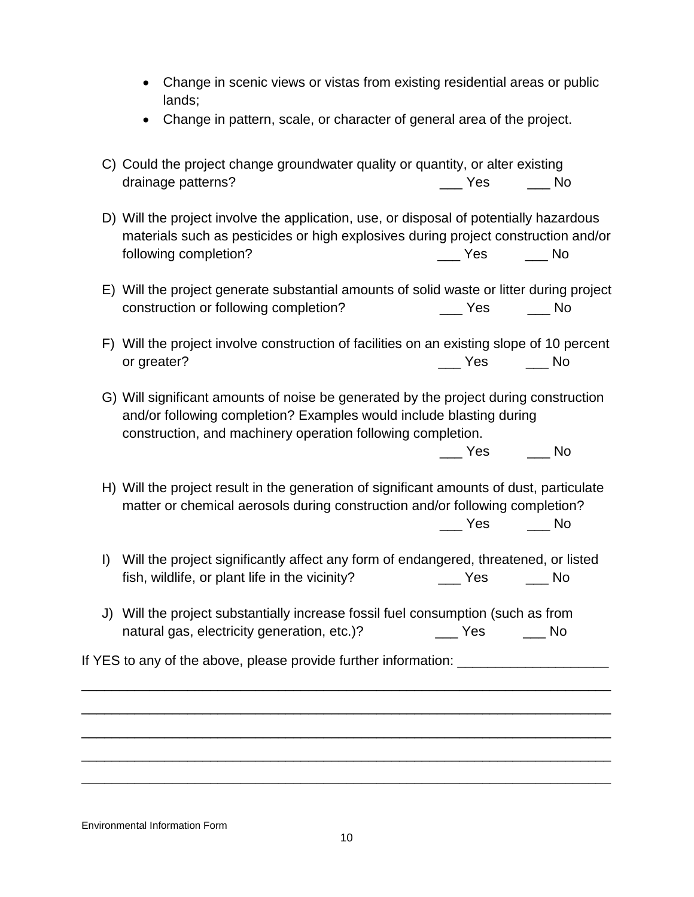- Change in scenic views or vistas from existing residential areas or public lands;
- Change in pattern, scale, or character of general area of the project.
- C) Could the project change groundwater quality or quantity, or alter existing drainage patterns? example and the set of the set of the set of the set of the No
- D) Will the project involve the application, use, or disposal of potentially hazardous materials such as pesticides or high explosives during project construction and/or following completion? The Completion of the Completion of the Completion of the Completion of the Completion o
- E) Will the project generate substantial amounts of solid waste or litter during project construction or following completion? The Second Yes The No
- F) Will the project involve construction of facilities on an existing slope of 10 percent or greater? No and the set of the set of the set of the set of the set of the set of the set of the set of the set of the set of the set of the set of the set of the set of the set of the set of the set of the set of the s
- G) Will significant amounts of noise be generated by the project during construction and/or following completion? Examples would include blasting during construction, and machinery operation following completion.

\_\_\_ Yes \_\_\_ No

- H) Will the project result in the generation of significant amounts of dust, particulate matter or chemical aerosols during construction and/or following completion? \_\_\_ Yes \_\_\_ No
- I) Will the project significantly affect any form of endangered, threatened, or listed fish, wildlife, or plant life in the vicinity? The Mesa The Society of No
- J) Will the project substantially increase fossil fuel consumption (such as from natural gas, electricity generation, etc.)? The Yes Mo

If YES to any of the above, please provide further information:

\_\_\_\_\_\_\_\_\_\_\_\_\_\_\_\_\_\_\_\_\_\_\_\_\_\_\_\_\_\_\_\_\_\_\_\_\_\_\_\_\_\_\_\_\_\_\_\_\_\_\_\_\_\_\_\_\_\_\_\_\_\_\_\_\_\_\_\_\_\_

\_\_\_\_\_\_\_\_\_\_\_\_\_\_\_\_\_\_\_\_\_\_\_\_\_\_\_\_\_\_\_\_\_\_\_\_\_\_\_\_\_\_\_\_\_\_\_\_\_\_\_\_\_\_\_\_\_\_\_\_\_\_\_\_\_\_\_\_\_\_

\_\_\_\_\_\_\_\_\_\_\_\_\_\_\_\_\_\_\_\_\_\_\_\_\_\_\_\_\_\_\_\_\_\_\_\_\_\_\_\_\_\_\_\_\_\_\_\_\_\_\_\_\_\_\_\_\_\_\_\_\_\_\_\_\_\_\_\_\_\_

\_\_\_\_\_\_\_\_\_\_\_\_\_\_\_\_\_\_\_\_\_\_\_\_\_\_\_\_\_\_\_\_\_\_\_\_\_\_\_\_\_\_\_\_\_\_\_\_\_\_\_\_\_\_\_\_\_\_\_\_\_\_\_\_\_\_\_\_\_\_

**\_\_\_\_\_\_\_\_\_\_\_\_\_\_\_\_\_\_\_\_\_\_\_\_\_\_\_\_\_\_\_\_\_\_\_\_\_\_\_\_\_\_\_\_\_\_\_\_\_\_\_\_\_\_\_\_\_\_\_\_\_\_\_\_\_\_\_\_\_\_**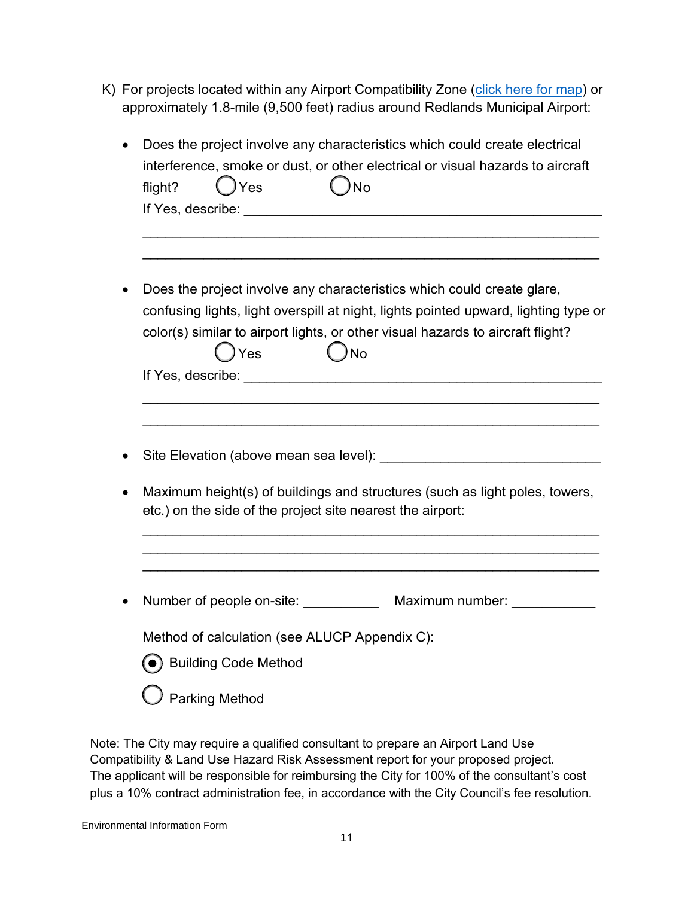K) For projects located within any Airport Compatibility Zone [\(click here for map\)](https://coredlands.maps.arcgis.com/apps/webappviewer/index.html?id=09d607c90ab544dea3fa28d8b459c37f) or approximately 1.8-mile (9,500 feet) radius around Redlands Municipal Airport:

| Does the project involve any characteristics which could create electrical          |
|-------------------------------------------------------------------------------------|
| interference, smoke or dust, or other electrical or visual hazards to aircraft      |
| )Yes<br>$)$ No<br>flight?                                                           |
|                                                                                     |
|                                                                                     |
|                                                                                     |
|                                                                                     |
| Does the project involve any characteristics which could create glare,              |
|                                                                                     |
| confusing lights, light overspill at night, lights pointed upward, lighting type or |
| color(s) similar to airport lights, or other visual hazards to aircraft flight?     |
| ) Yes<br>)No                                                                        |
|                                                                                     |
|                                                                                     |
|                                                                                     |
|                                                                                     |
|                                                                                     |
|                                                                                     |
| Maximum height(s) of buildings and structures (such as light poles, towers,         |
| etc.) on the side of the project site nearest the airport:                          |
|                                                                                     |
|                                                                                     |
|                                                                                     |
|                                                                                     |
| Number of people on-site: _________<br>Maximum number: ____________                 |
|                                                                                     |
| Method of calculation (see ALUCP Appendix C):                                       |
| Building Code Method                                                                |
|                                                                                     |
| <b>Parking Method</b>                                                               |
|                                                                                     |

Note: The City may require a qualified consultant to prepare an Airport Land Use Compatibility & Land Use Hazard Risk Assessment report for your proposed project. The applicant will be responsible for reimbursing the City for 100% of the consultant's cost plus a 10% contract administration fee, in accordance with the City Council's fee resolution.